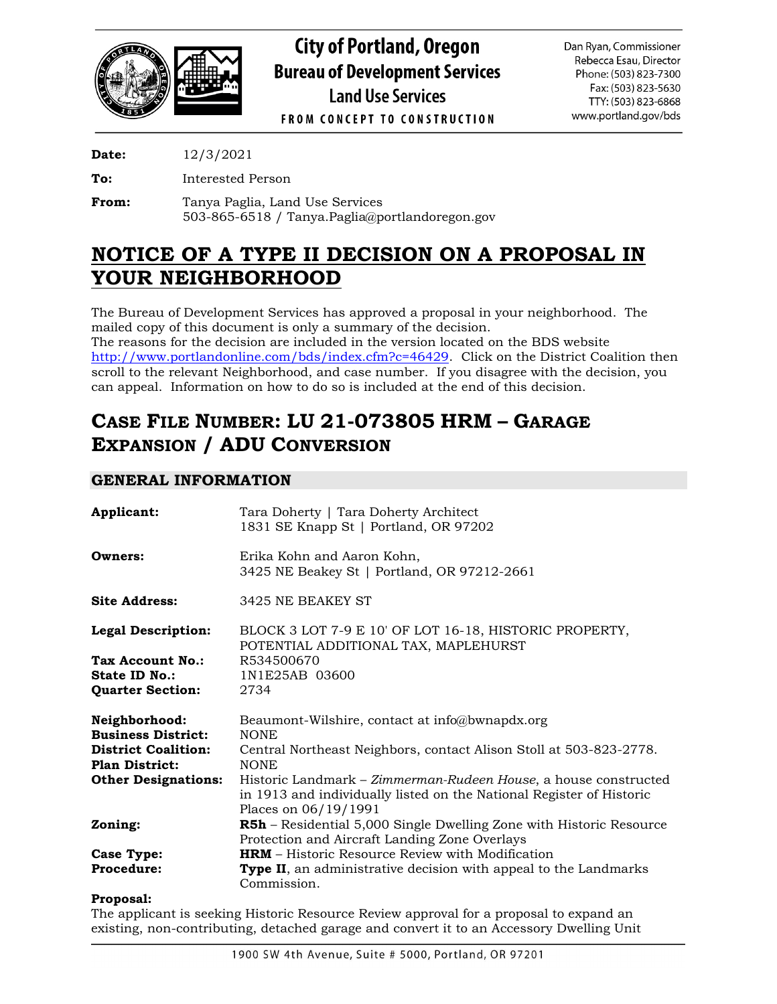

**City of Portland, Oregon Bureau of Development Services Land Use Services** 

Dan Ryan, Commissioner Rebecca Esau, Director Phone: (503) 823-7300 Fax: (503) 823-5630 TTY: (503) 823-6868 www.portland.gov/bds

**FROM CONCEPT TO CONSTRUCTION** 

**Date:** 12/3/2021

**To:** Interested Person

**From:** Tanya Paglia, Land Use Services 503-865-6518 / Tanya.Paglia@portlandoregon.gov

# **NOTICE OF A TYPE II DECISION ON A PROPOSAL IN YOUR NEIGHBORHOOD**

The Bureau of Development Services has approved a proposal in your neighborhood. The mailed copy of this document is only a summary of the decision. The reasons for the decision are included in the version located on the BDS website [http://www.portlandonline.com/bds/index.cfm?c=46429.](http://www.portlandonline.com/bds/index.cfm?c=46429) Click on the District Coalition then

scroll to the relevant Neighborhood, and case number. If you disagree with the decision, you can appeal. Information on how to do so is included at the end of this decision.

# **CASE FILE NUMBER: LU 21-073805 HRM – GARAGE EXPANSION / ADU CONVERSION**

# **GENERAL INFORMATION**

| Applicant:                 | Tara Doherty   Tara Doherty Architect<br>1831 SE Knapp St   Portland, OR 97202                                                                                  |
|----------------------------|-----------------------------------------------------------------------------------------------------------------------------------------------------------------|
| Owners:                    | Erika Kohn and Aaron Kohn,<br>3425 NE Beakey St   Portland, OR 97212-2661                                                                                       |
| <b>Site Address:</b>       | 3425 NE BEAKEY ST                                                                                                                                               |
| <b>Legal Description:</b>  | BLOCK 3 LOT 7-9 E 10' OF LOT 16-18, HISTORIC PROPERTY,<br>POTENTIAL ADDITIONAL TAX, MAPLEHURST                                                                  |
| Tax Account No.:           | R534500670                                                                                                                                                      |
| State ID No.:              | 1N1E25AB 03600                                                                                                                                                  |
| <b>Quarter Section:</b>    | 2734                                                                                                                                                            |
| Neighborhood:              | Beaumont-Wilshire, contact at info@bwnapdx.org                                                                                                                  |
| <b>Business District:</b>  | <b>NONE</b>                                                                                                                                                     |
| <b>District Coalition:</b> | Central Northeast Neighbors, contact Alison Stoll at 503-823-2778.                                                                                              |
| <b>Plan District:</b>      | <b>NONE</b>                                                                                                                                                     |
| <b>Other Designations:</b> | Historic Landmark - Zimmerman-Rudeen House, a house constructed<br>in 1913 and individually listed on the National Register of Historic<br>Places on 06/19/1991 |
| Zoning:                    | <b>R5h</b> – Residential 5,000 Single Dwelling Zone with Historic Resource<br>Protection and Aircraft Landing Zone Overlays                                     |
| <b>Case Type:</b>          | <b>HRM</b> – Historic Resource Review with Modification                                                                                                         |
| <b>Procedure:</b>          | <b>Type II</b> , an administrative decision with appeal to the Landmarks                                                                                        |
|                            | Commission.                                                                                                                                                     |

## **Proposal:**

The applicant is seeking Historic Resource Review approval for a proposal to expand an existing, non-contributing, detached garage and convert it to an Accessory Dwelling Unit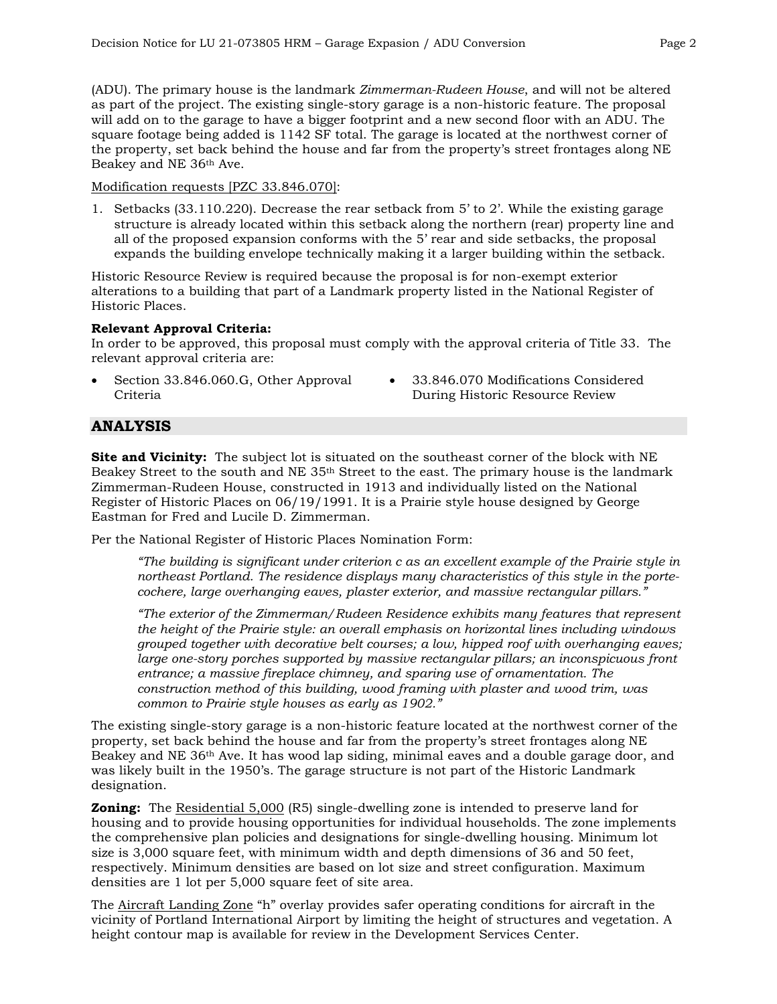(ADU). The primary house is the landmark *Zimmerman-Rudeen House*, and will not be altered as part of the project. The existing single-story garage is a non-historic feature. The proposal will add on to the garage to have a bigger footprint and a new second floor with an ADU. The square footage being added is 1142 SF total. The garage is located at the northwest corner of the property, set back behind the house and far from the property's street frontages along NE Beakey and NE 36th Ave.

#### Modification requests [PZC 33.846.070]:

1. Setbacks (33.110.220). Decrease the rear setback from 5' to 2'. While the existing garage structure is already located within this setback along the northern (rear) property line and all of the proposed expansion conforms with the 5' rear and side setbacks, the proposal expands the building envelope technically making it a larger building within the setback.

Historic Resource Review is required because the proposal is for non-exempt exterior alterations to a building that part of a Landmark property listed in the National Register of Historic Places.

### **Relevant Approval Criteria:**

In order to be approved, this proposal must comply with the approval criteria of Title 33. The relevant approval criteria are:

- Section 33.846.060.G, Other Approval Criteria
- 33.846.070 Modifications Considered During Historic Resource Review

## **ANALYSIS**

**Site and Vicinity:** The subject lot is situated on the southeast corner of the block with NE Beakey Street to the south and NE 35th Street to the east. The primary house is the landmark Zimmerman-Rudeen House, constructed in 1913 and individually listed on the National Register of Historic Places on 06/19/1991. It is a Prairie style house designed by George Eastman for Fred and Lucile D. Zimmerman.

Per the National Register of Historic Places Nomination Form:

*"The building is significant under criterion c as an excellent example of the Prairie style in northeast Portland. The residence displays many characteristics of this style in the portecochere, large overhanging eaves, plaster exterior, and massive rectangular pillars."*

*"The exterior of the Zimmerman/Rudeen Residence exhibits many features that represent the height of the Prairie style: an overall emphasis on horizontal lines including windows grouped together with decorative belt courses; a low, hipped roof with overhanging eaves; large one-story porches supported by massive rectangular pillars; an inconspicuous front entrance; a massive fireplace chimney, and sparing use of ornamentation. The construction method of this building, wood framing with plaster and wood trim, was common to Prairie style houses as early as 1902."*

The existing single-story garage is a non-historic feature located at the northwest corner of the property, set back behind the house and far from the property's street frontages along NE Beakey and NE 36th Ave. It has wood lap siding, minimal eaves and a double garage door, and was likely built in the 1950's. The garage structure is not part of the Historic Landmark designation.

**Zoning:** The Residential 5,000 (R5) single-dwelling zone is intended to preserve land for housing and to provide housing opportunities for individual households. The zone implements the comprehensive plan policies and designations for single-dwelling housing. Minimum lot size is 3,000 square feet, with minimum width and depth dimensions of 36 and 50 feet, respectively. Minimum densities are based on lot size and street configuration. Maximum densities are 1 lot per 5,000 square feet of site area.

The Aircraft Landing Zone "h" overlay provides safer operating conditions for aircraft in the vicinity of Portland International Airport by limiting the height of structures and vegetation. A height contour map is available for review in the Development Services Center.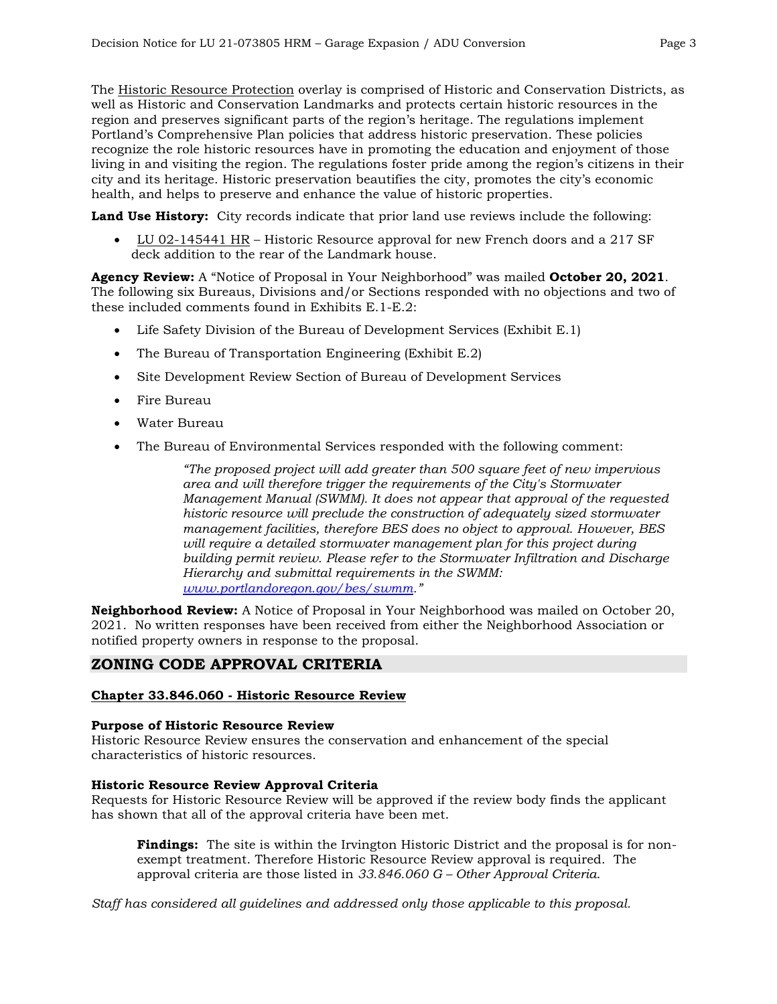The Historic Resource Protection overlay is comprised of Historic and Conservation Districts, as well as Historic and Conservation Landmarks and protects certain historic resources in the region and preserves significant parts of the region's heritage. The regulations implement Portland's Comprehensive Plan policies that address historic preservation. These policies recognize the role historic resources have in promoting the education and enjoyment of those living in and visiting the region. The regulations foster pride among the region's citizens in their city and its heritage. Historic preservation beautifies the city, promotes the city's economic health, and helps to preserve and enhance the value of historic properties.

**Land Use History:** City records indicate that prior land use reviews include the following:

• LU 02-145441 HR – Historic Resource approval for new French doors and a 217 SF deck addition to the rear of the Landmark house.

**Agency Review:** A "Notice of Proposal in Your Neighborhood" was mailed **October 20, 2021**. The following six Bureaus, Divisions and/or Sections responded with no objections and two of these included comments found in Exhibits E.1-E.2:

- Life Safety Division of the Bureau of Development Services (Exhibit E.1)
- The Bureau of Transportation Engineering (Exhibit E.2)
- Site Development Review Section of Bureau of Development Services
- Fire Bureau
- Water Bureau
- The Bureau of Environmental Services responded with the following comment:

*"The proposed project will add greater than 500 square feet of new impervious area and will therefore trigger the requirements of the City's Stormwater Management Manual (SWMM). It does not appear that approval of the requested historic resource will preclude the construction of adequately sized stormwater management facilities, therefore BES does no object to approval. However, BES will require a detailed stormwater management plan for this project during building permit review. Please refer to the Stormwater Infiltration and Discharge Hierarchy and submittal requirements in the SWMM: [www.portlandoregon.gov/bes/swmm.](http://www.portlandoregon.gov/bes/swmm)"*

**Neighborhood Review:** A Notice of Proposal in Your Neighborhood was mailed on October 20, 2021. No written responses have been received from either the Neighborhood Association or notified property owners in response to the proposal.

## **ZONING CODE APPROVAL CRITERIA**

### **Chapter 33.846.060 - Historic Resource Review**

### **Purpose of Historic Resource Review**

Historic Resource Review ensures the conservation and enhancement of the special characteristics of historic resources.

### **Historic Resource Review Approval Criteria**

Requests for Historic Resource Review will be approved if the review body finds the applicant has shown that all of the approval criteria have been met.

**Findings:** The site is within the Irvington Historic District and the proposal is for nonexempt treatment. Therefore Historic Resource Review approval is required. The approval criteria are those listed in *33.846.060 G – Other Approval Criteria*.

*Staff has considered all guidelines and addressed only those applicable to this proposal.*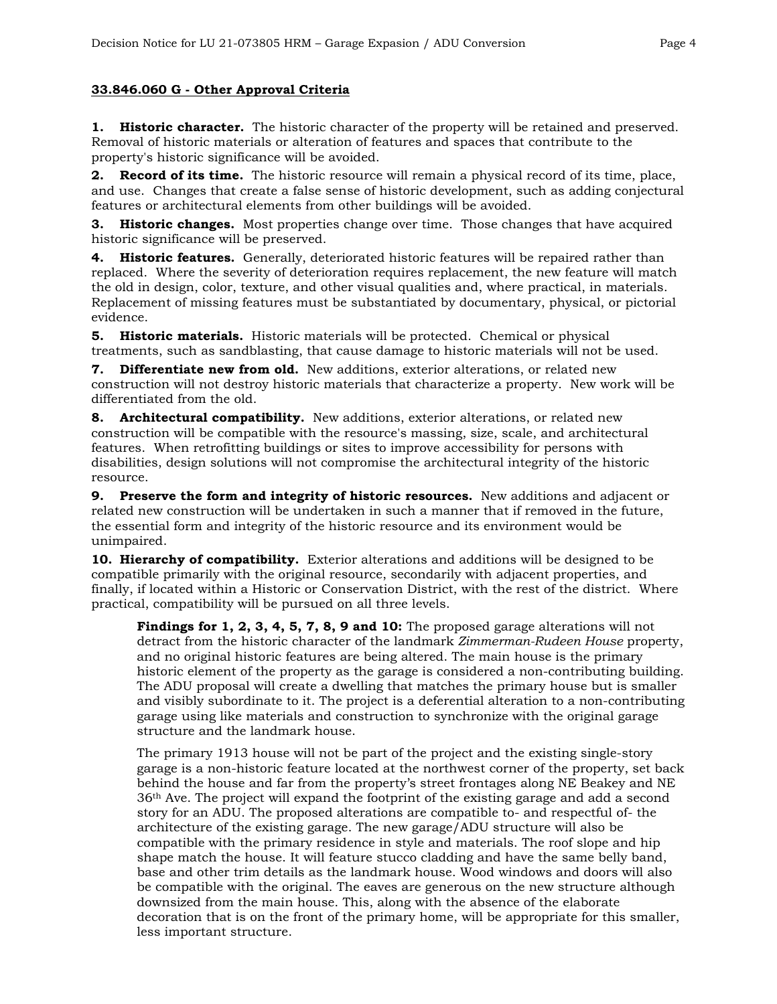## **33.846.060 G - Other Approval Criteria**

**1. Historic character.** The historic character of the property will be retained and preserved. Removal of historic materials or alteration of features and spaces that contribute to the property's historic significance will be avoided.

**2. Record of its time.** The historic resource will remain a physical record of its time, place, and use. Changes that create a false sense of historic development, such as adding conjectural features or architectural elements from other buildings will be avoided.

**3. Historic changes.** Most properties change over time. Those changes that have acquired historic significance will be preserved.

**4. Historic features.** Generally, deteriorated historic features will be repaired rather than replaced. Where the severity of deterioration requires replacement, the new feature will match the old in design, color, texture, and other visual qualities and, where practical, in materials. Replacement of missing features must be substantiated by documentary, physical, or pictorial evidence.

**5. Historic materials.** Historic materials will be protected. Chemical or physical treatments, such as sandblasting, that cause damage to historic materials will not be used.

**7. Differentiate new from old.** New additions, exterior alterations, or related new construction will not destroy historic materials that characterize a property. New work will be differentiated from the old.

**8. Architectural compatibility.** New additions, exterior alterations, or related new construction will be compatible with the resource's massing, size, scale, and architectural features. When retrofitting buildings or sites to improve accessibility for persons with disabilities, design solutions will not compromise the architectural integrity of the historic resource.

**9. Preserve the form and integrity of historic resources.** New additions and adjacent or related new construction will be undertaken in such a manner that if removed in the future, the essential form and integrity of the historic resource and its environment would be unimpaired.

**10. Hierarchy of compatibility.** Exterior alterations and additions will be designed to be compatible primarily with the original resource, secondarily with adjacent properties, and finally, if located within a Historic or Conservation District, with the rest of the district. Where practical, compatibility will be pursued on all three levels.

**Findings for 1, 2, 3, 4, 5, 7, 8, 9 and 10:** The proposed garage alterations will not detract from the historic character of the landmark *Zimmerman-Rudeen House* property, and no original historic features are being altered. The main house is the primary historic element of the property as the garage is considered a non-contributing building. The ADU proposal will create a dwelling that matches the primary house but is smaller and visibly subordinate to it. The project is a deferential alteration to a non-contributing garage using like materials and construction to synchronize with the original garage structure and the landmark house.

The primary 1913 house will not be part of the project and the existing single-story garage is a non-historic feature located at the northwest corner of the property, set back behind the house and far from the property's street frontages along NE Beakey and NE 36th Ave. The project will expand the footprint of the existing garage and add a second story for an ADU. The proposed alterations are compatible to- and respectful of- the architecture of the existing garage. The new garage/ADU structure will also be compatible with the primary residence in style and materials. The roof slope and hip shape match the house. It will feature stucco cladding and have the same belly band, base and other trim details as the landmark house. Wood windows and doors will also be compatible with the original. The eaves are generous on the new structure although downsized from the main house. This, along with the absence of the elaborate decoration that is on the front of the primary home, will be appropriate for this smaller, less important structure.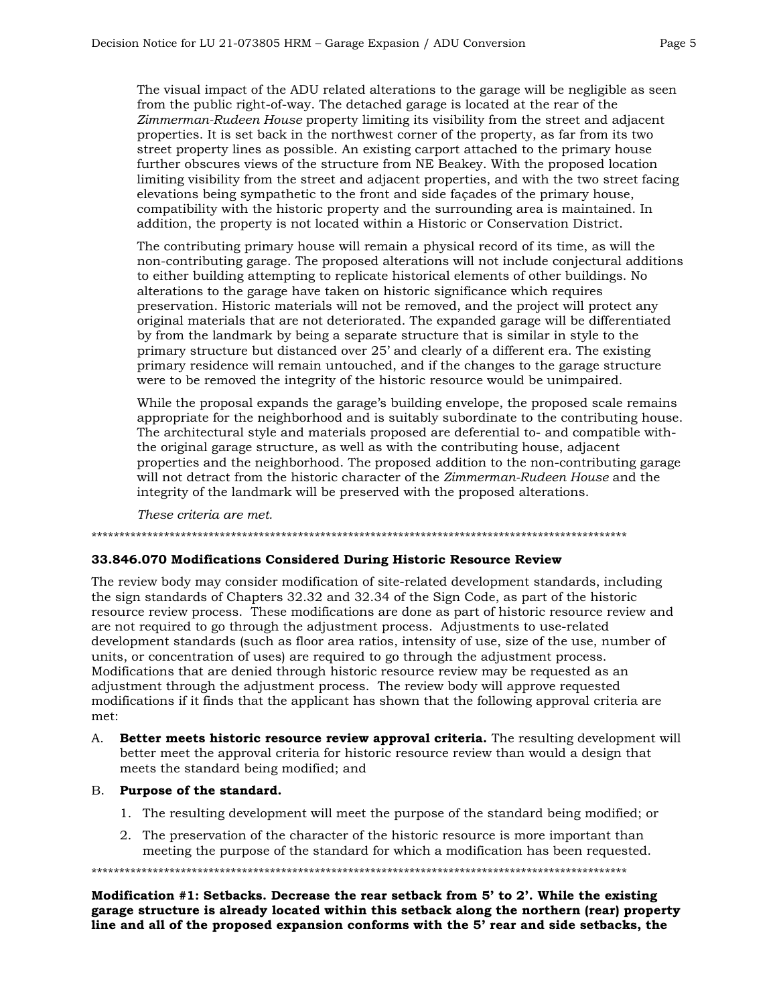The visual impact of the ADU related alterations to the garage will be negligible as seen from the public right-of-way. The detached garage is located at the rear of the *Zimmerman-Rudeen House* property limiting its visibility from the street and adjacent properties. It is set back in the northwest corner of the property, as far from its two street property lines as possible. An existing carport attached to the primary house further obscures views of the structure from NE Beakey. With the proposed location limiting visibility from the street and adjacent properties, and with the two street facing elevations being sympathetic to the front and side façades of the primary house, compatibility with the historic property and the surrounding area is maintained. In addition, the property is not located within a Historic or Conservation District.

The contributing primary house will remain a physical record of its time, as will the non-contributing garage. The proposed alterations will not include conjectural additions to either building attempting to replicate historical elements of other buildings. No alterations to the garage have taken on historic significance which requires preservation. Historic materials will not be removed, and the project will protect any original materials that are not deteriorated. The expanded garage will be differentiated by from the landmark by being a separate structure that is similar in style to the primary structure but distanced over 25' and clearly of a different era. The existing primary residence will remain untouched, and if the changes to the garage structure were to be removed the integrity of the historic resource would be unimpaired.

While the proposal expands the garage's building envelope, the proposed scale remains appropriate for the neighborhood and is suitably subordinate to the contributing house. The architectural style and materials proposed are deferential to- and compatible withthe original garage structure, as well as with the contributing house, adjacent properties and the neighborhood. The proposed addition to the non-contributing garage will not detract from the historic character of the *Zimmerman-Rudeen House* and the integrity of the landmark will be preserved with the proposed alterations.

*These criteria are met.*

#### \*\*\*\*\*\*\*\*\*\*\*\*\*\*\*\*\*\*\*\*\*\*\*\*\*\*\*\*\*\*\*\*\*\*\*\*\*\*\*\*\*\*\*\*\*\*\*\*\*\*\*\*\*\*\*\*\*\*\*\*\*\*\*\*\*\*\*\*\*\*\*\*\*\*\*\*\*\*\*\*\*\*\*\*\*\*\*\*\*\*\*\*\*\*\*\*

### **33.846.070 Modifications Considered During Historic Resource Review**

The review body may consider modification of site-related development standards, including the sign standards of Chapters 32.32 and 32.34 of the Sign Code, as part of the historic resource review process. These modifications are done as part of historic resource review and are not required to go through the adjustment process. Adjustments to use-related development standards (such as floor area ratios, intensity of use, size of the use, number of units, or concentration of uses) are required to go through the adjustment process. Modifications that are denied through historic resource review may be requested as an adjustment through the adjustment process. The review body will approve requested modifications if it finds that the applicant has shown that the following approval criteria are met:

A. **Better meets historic resource review approval criteria.** The resulting development will better meet the approval criteria for historic resource review than would a design that meets the standard being modified; and

## B. **Purpose of the standard.**

- 1. The resulting development will meet the purpose of the standard being modified; or
- 2. The preservation of the character of the historic resource is more important than meeting the purpose of the standard for which a modification has been requested.

\*\*\*\*\*\*\*\*\*\*\*\*\*\*\*\*\*\*\*\*\*\*\*\*\*\*\*\*\*\*\*\*\*\*\*\*\*\*\*\*\*\*\*\*\*\*\*\*\*\*\*\*\*\*\*\*\*\*\*\*\*\*\*\*\*\*\*\*\*\*\*\*\*\*\*\*\*\*\*\*\*\*\*\*\*\*\*\*\*\*\*\*\*\*\*\*

**Modification #1: Setbacks. Decrease the rear setback from 5' to 2'. While the existing garage structure is already located within this setback along the northern (rear) property line and all of the proposed expansion conforms with the 5' rear and side setbacks, the**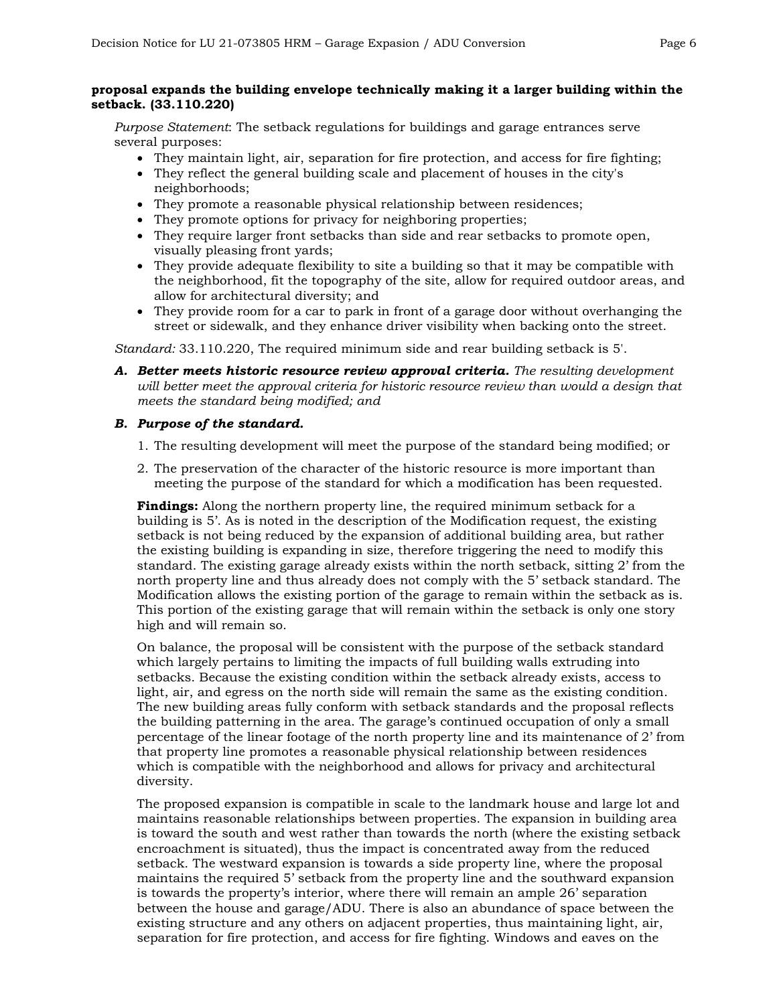## **proposal expands the building envelope technically making it a larger building within the setback. (33.110.220)**

*Purpose Statement*: The setback regulations for buildings and garage entrances serve several purposes:

- They maintain light, air, separation for fire protection, and access for fire fighting;
- They reflect the general building scale and placement of houses in the city's neighborhoods;
- They promote a reasonable physical relationship between residences;
- They promote options for privacy for neighboring properties;
- They require larger front setbacks than side and rear setbacks to promote open, visually pleasing front yards;
- They provide adequate flexibility to site a building so that it may be compatible with the neighborhood, fit the topography of the site, allow for required outdoor areas, and allow for architectural diversity; and
- They provide room for a car to park in front of a garage door without overhanging the street or sidewalk, and they enhance driver visibility when backing onto the street.

*Standard:* 33.110.220, The required minimum side and rear building setback is 5'.

*A. Better meets historic resource review approval criteria. The resulting development will better meet the approval criteria for historic resource review than would a design that meets the standard being modified; and*

## *B. Purpose of the standard.*

- 1. The resulting development will meet the purpose of the standard being modified; or
- 2. The preservation of the character of the historic resource is more important than meeting the purpose of the standard for which a modification has been requested.

**Findings:** Along the northern property line, the required minimum setback for a building is 5'. As is noted in the description of the Modification request, the existing setback is not being reduced by the expansion of additional building area, but rather the existing building is expanding in size, therefore triggering the need to modify this standard. The existing garage already exists within the north setback, sitting 2' from the north property line and thus already does not comply with the 5' setback standard. The Modification allows the existing portion of the garage to remain within the setback as is. This portion of the existing garage that will remain within the setback is only one story high and will remain so.

On balance, the proposal will be consistent with the purpose of the setback standard which largely pertains to limiting the impacts of full building walls extruding into setbacks. Because the existing condition within the setback already exists, access to light, air, and egress on the north side will remain the same as the existing condition. The new building areas fully conform with setback standards and the proposal reflects the building patterning in the area. The garage's continued occupation of only a small percentage of the linear footage of the north property line and its maintenance of 2' from that property line promotes a reasonable physical relationship between residences which is compatible with the neighborhood and allows for privacy and architectural diversity.

The proposed expansion is compatible in scale to the landmark house and large lot and maintains reasonable relationships between properties. The expansion in building area is toward the south and west rather than towards the north (where the existing setback encroachment is situated), thus the impact is concentrated away from the reduced setback. The westward expansion is towards a side property line, where the proposal maintains the required 5' setback from the property line and the southward expansion is towards the property's interior, where there will remain an ample 26' separation between the house and garage/ADU. There is also an abundance of space between the existing structure and any others on adjacent properties, thus maintaining light, air, separation for fire protection, and access for fire fighting. Windows and eaves on the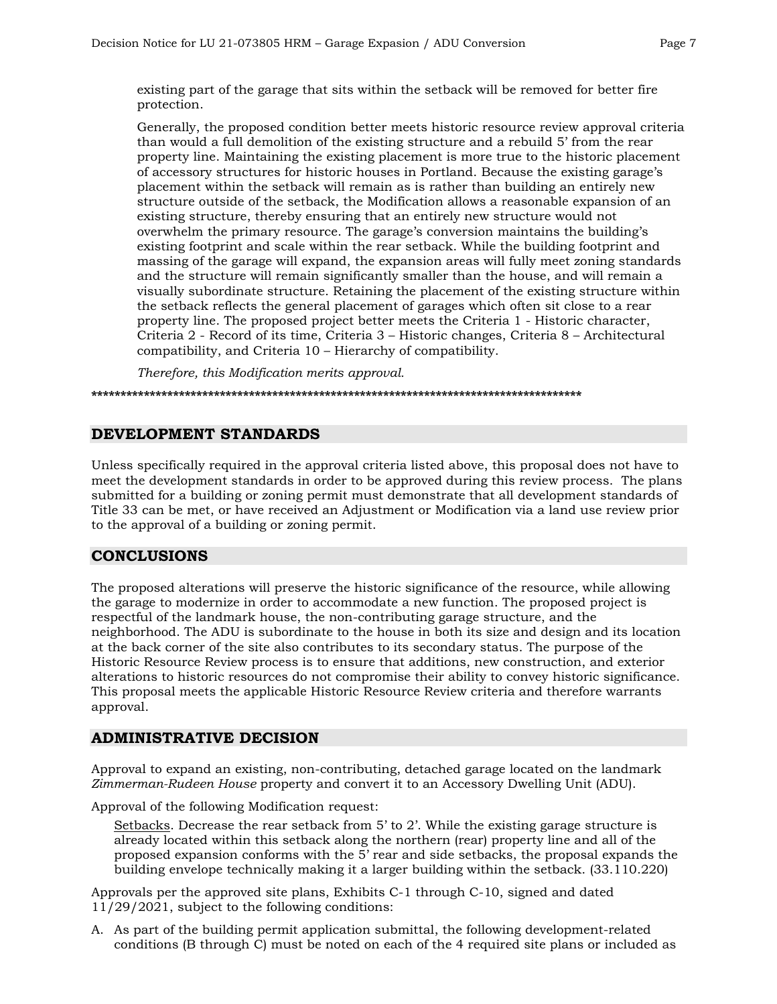existing part of the garage that sits within the setback will be removed for better fire protection.

Generally, the proposed condition better meets historic resource review approval criteria than would a full demolition of the existing structure and a rebuild 5' from the rear property line. Maintaining the existing placement is more true to the historic placement of accessory structures for historic houses in Portland. Because the existing garage's placement within the setback will remain as is rather than building an entirely new structure outside of the setback, the Modification allows a reasonable expansion of an existing structure, thereby ensuring that an entirely new structure would not overwhelm the primary resource. The garage's conversion maintains the building's existing footprint and scale within the rear setback. While the building footprint and massing of the garage will expand, the expansion areas will fully meet zoning standards and the structure will remain significantly smaller than the house, and will remain a visually subordinate structure. Retaining the placement of the existing structure within the setback reflects the general placement of garages which often sit close to a rear property line. The proposed project better meets the Criteria 1 - Historic character, Criteria 2 - Record of its time, Criteria 3 – Historic changes, Criteria 8 – Architectural compatibility, and Criteria 10 – Hierarchy of compatibility.

*Therefore, this Modification merits approval.*

**\*\*\*\*\*\*\*\*\*\*\*\*\*\*\*\*\*\*\*\*\*\*\*\*\*\*\*\*\*\*\*\*\*\*\*\*\*\*\*\*\*\*\*\*\*\*\*\*\*\*\*\*\*\*\*\*\*\*\*\*\*\*\*\*\*\*\*\*\*\*\*\*\*\*\*\*\*\*\*\*\*\*\*\***

## **DEVELOPMENT STANDARDS**

Unless specifically required in the approval criteria listed above, this proposal does not have to meet the development standards in order to be approved during this review process. The plans submitted for a building or zoning permit must demonstrate that all development standards of Title 33 can be met, or have received an Adjustment or Modification via a land use review prior to the approval of a building or zoning permit.

## **CONCLUSIONS**

The proposed alterations will preserve the historic significance of the resource, while allowing the garage to modernize in order to accommodate a new function. The proposed project is respectful of the landmark house, the non-contributing garage structure, and the neighborhood. The ADU is subordinate to the house in both its size and design and its location at the back corner of the site also contributes to its secondary status. The purpose of the Historic Resource Review process is to ensure that additions, new construction, and exterior alterations to historic resources do not compromise their ability to convey historic significance. This proposal meets the applicable Historic Resource Review criteria and therefore warrants approval.

## **ADMINISTRATIVE DECISION**

Approval to expand an existing, non-contributing, detached garage located on the landmark *Zimmerman-Rudeen House* property and convert it to an Accessory Dwelling Unit (ADU).

Approval of the following Modification request:

Setbacks. Decrease the rear setback from  $5'$  to  $2'$ . While the existing garage structure is already located within this setback along the northern (rear) property line and all of the proposed expansion conforms with the 5' rear and side setbacks, the proposal expands the building envelope technically making it a larger building within the setback. (33.110.220)

Approvals per the approved site plans, Exhibits C-1 through C-10, signed and dated 11/29/2021, subject to the following conditions:

A. As part of the building permit application submittal, the following development-related conditions (B through C) must be noted on each of the 4 required site plans or included as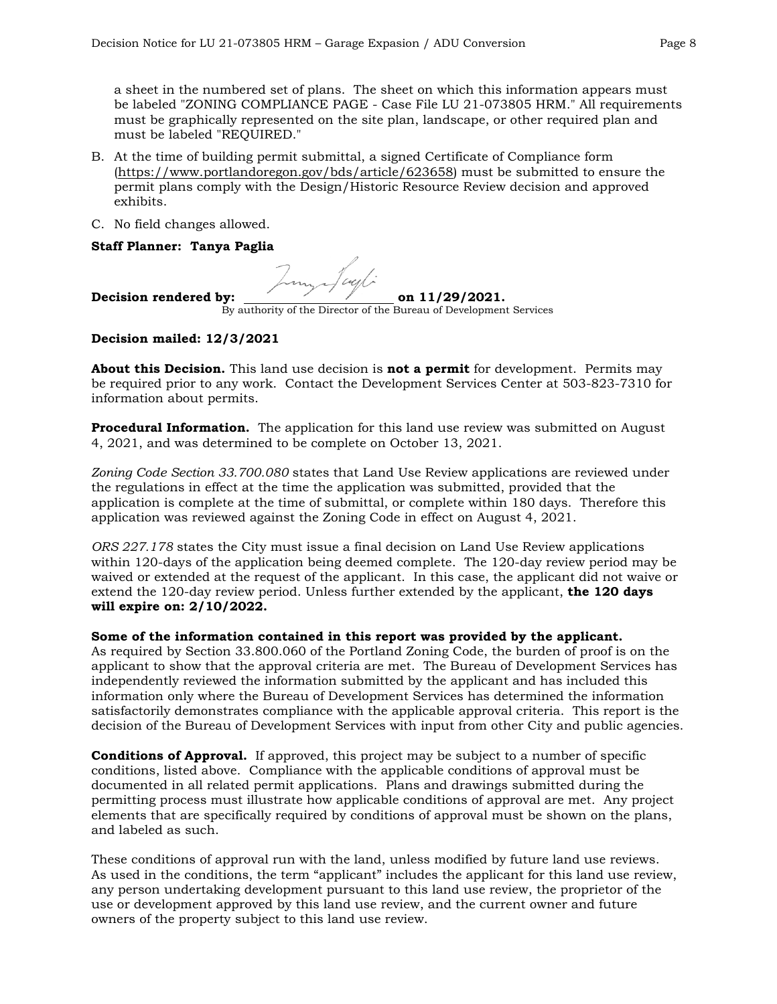a sheet in the numbered set of plans. The sheet on which this information appears must be labeled "ZONING COMPLIANCE PAGE - Case File LU 21-073805 HRM." All requirements must be graphically represented on the site plan, landscape, or other required plan and must be labeled "REQUIRED."

- B. At the time of building permit submittal, a signed Certificate of Compliance form [\(https://www.portlandoregon.gov/bds/article/623658\)](https://www.portlandoregon.gov/bds/article/623658) must be submitted to ensure the permit plans comply with the Design/Historic Resource Review decision and approved exhibits.
- C. No field changes allowed.

## **Staff Planner: Tanya Paglia**

m Jack

Decision rendered by: <u>contained by:</u> on 11/29/2021.

By authority of the Director of the Bureau of Development Services

## **Decision mailed: 12/3/2021**

**About this Decision.** This land use decision is **not a permit** for development. Permits may be required prior to any work. Contact the Development Services Center at 503-823-7310 for information about permits.

**Procedural Information.** The application for this land use review was submitted on August 4, 2021, and was determined to be complete on October 13, 2021.

*Zoning Code Section 33.700.080* states that Land Use Review applications are reviewed under the regulations in effect at the time the application was submitted, provided that the application is complete at the time of submittal, or complete within 180 days. Therefore this application was reviewed against the Zoning Code in effect on August 4, 2021.

*ORS 227.178* states the City must issue a final decision on Land Use Review applications within 120-days of the application being deemed complete. The 120-day review period may be waived or extended at the request of the applicant. In this case, the applicant did not waive or extend the 120-day review period. Unless further extended by the applicant, **the 120 days will expire on: 2/10/2022.**

### **Some of the information contained in this report was provided by the applicant.**

As required by Section 33.800.060 of the Portland Zoning Code, the burden of proof is on the applicant to show that the approval criteria are met. The Bureau of Development Services has independently reviewed the information submitted by the applicant and has included this information only where the Bureau of Development Services has determined the information satisfactorily demonstrates compliance with the applicable approval criteria. This report is the decision of the Bureau of Development Services with input from other City and public agencies.

**Conditions of Approval.** If approved, this project may be subject to a number of specific conditions, listed above. Compliance with the applicable conditions of approval must be documented in all related permit applications. Plans and drawings submitted during the permitting process must illustrate how applicable conditions of approval are met. Any project elements that are specifically required by conditions of approval must be shown on the plans, and labeled as such.

These conditions of approval run with the land, unless modified by future land use reviews. As used in the conditions, the term "applicant" includes the applicant for this land use review, any person undertaking development pursuant to this land use review, the proprietor of the use or development approved by this land use review, and the current owner and future owners of the property subject to this land use review.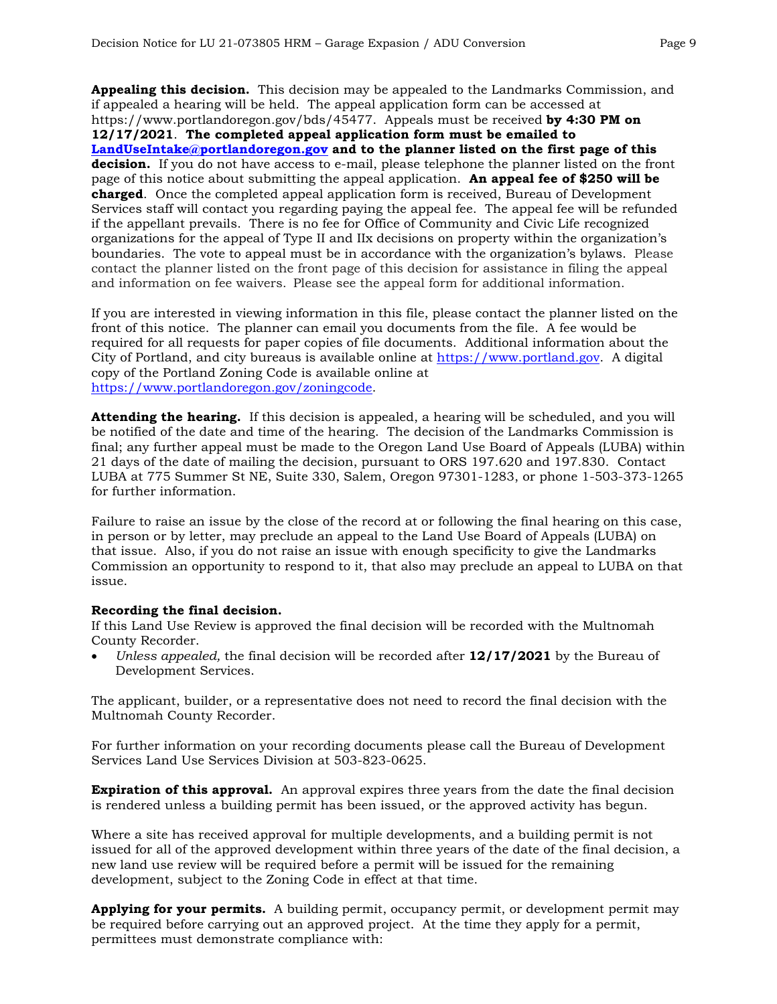**Appealing this decision.** This decision may be appealed to the Landmarks Commission, and if appealed a hearing will be held. The appeal application form can be accessed at https://www.portlandoregon.gov/bds/45477. Appeals must be received **by 4:30 PM on 12/17/2021**. **The completed appeal application form must be emailed to [LandUseIntake@portlandoregon.gov](mailto:LandUseIntake@portlandoregon.gov) and to the planner listed on the first page of this decision.** If you do not have access to e-mail, please telephone the planner listed on the front page of this notice about submitting the appeal application. **An appeal fee of \$250 will be charged**. Once the completed appeal application form is received, Bureau of Development Services staff will contact you regarding paying the appeal fee. The appeal fee will be refunded if the appellant prevails. There is no fee for Office of Community and Civic Life recognized organizations for the appeal of Type II and IIx decisions on property within the organization's boundaries. The vote to appeal must be in accordance with the organization's bylaws. Please contact the planner listed on the front page of this decision for assistance in filing the appeal and information on fee waivers. Please see the appeal form for additional information.

If you are interested in viewing information in this file, please contact the planner listed on the front of this notice. The planner can email you documents from the file. A fee would be required for all requests for paper copies of file documents. Additional information about the City of Portland, and city bureaus is available online at [https://www.portland.gov.](https://www.portland.gov/) A digital copy of the Portland Zoning Code is available online at [https://www.portlandoregon.gov/zoningcode.](https://www.portlandoregon.gov/zoningcode)

**Attending the hearing.** If this decision is appealed, a hearing will be scheduled, and you will be notified of the date and time of the hearing. The decision of the Landmarks Commission is final; any further appeal must be made to the Oregon Land Use Board of Appeals (LUBA) within 21 days of the date of mailing the decision, pursuant to ORS 197.620 and 197.830. Contact LUBA at 775 Summer St NE, Suite 330, Salem, Oregon 97301-1283, or phone 1-503-373-1265 for further information.

Failure to raise an issue by the close of the record at or following the final hearing on this case, in person or by letter, may preclude an appeal to the Land Use Board of Appeals (LUBA) on that issue. Also, if you do not raise an issue with enough specificity to give the Landmarks Commission an opportunity to respond to it, that also may preclude an appeal to LUBA on that issue.

### **Recording the final decision.**

If this Land Use Review is approved the final decision will be recorded with the Multnomah County Recorder.

• *Unless appealed,* the final decision will be recorded after **12/17/2021** by the Bureau of Development Services.

The applicant, builder, or a representative does not need to record the final decision with the Multnomah County Recorder.

For further information on your recording documents please call the Bureau of Development Services Land Use Services Division at 503-823-0625.

**Expiration of this approval.** An approval expires three years from the date the final decision is rendered unless a building permit has been issued, or the approved activity has begun.

Where a site has received approval for multiple developments, and a building permit is not issued for all of the approved development within three years of the date of the final decision, a new land use review will be required before a permit will be issued for the remaining development, subject to the Zoning Code in effect at that time.

**Applying for your permits.** A building permit, occupancy permit, or development permit may be required before carrying out an approved project. At the time they apply for a permit, permittees must demonstrate compliance with: